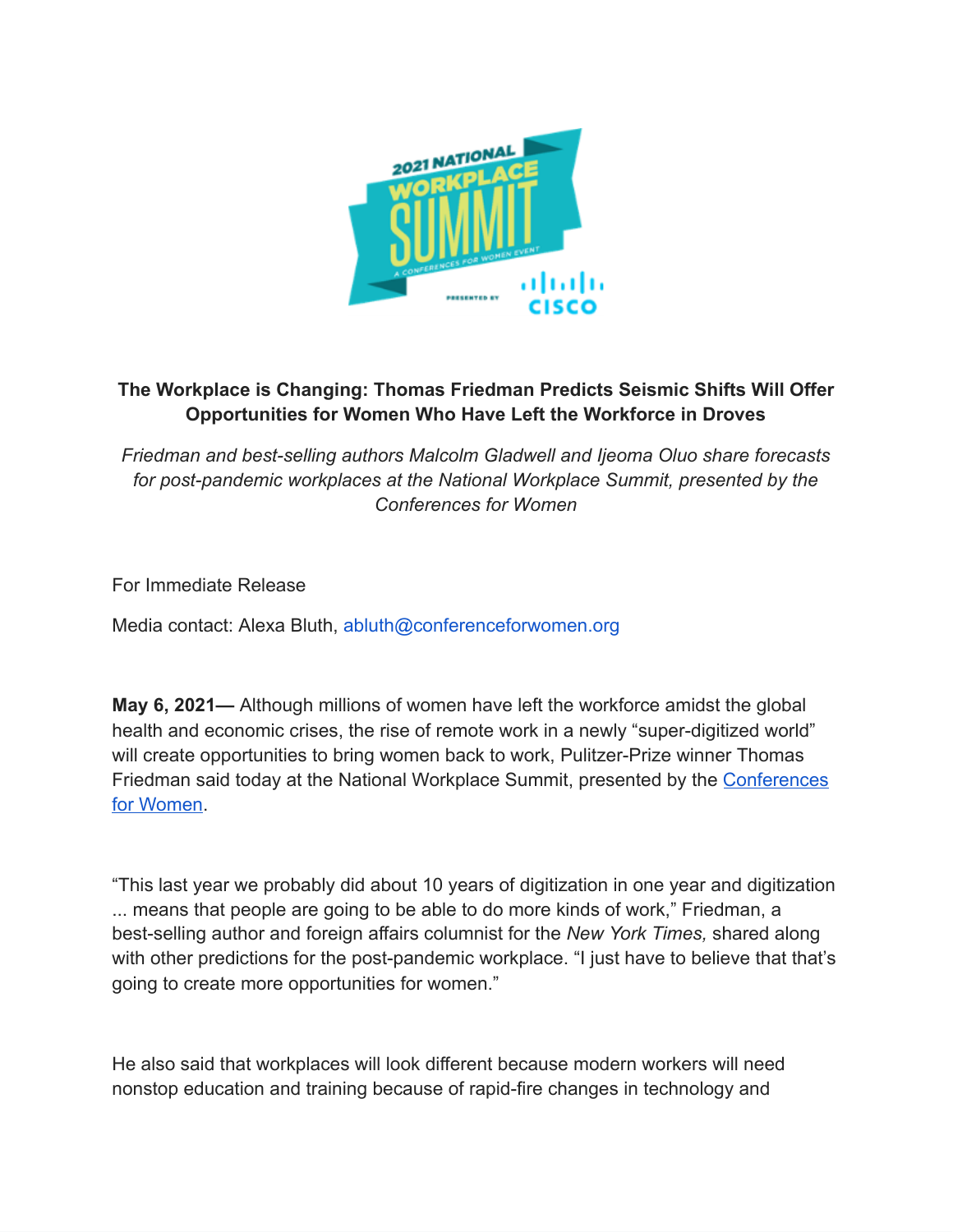

## **The Workplace is Changing: Thomas Friedman Predicts Seismic Shifts Will Offer Opportunities for Women Who Have Left the Workforce in Droves**

*Friedman and best-selling authors Malcolm Gladwell and Ijeoma Oluo share forecasts*  for post-pandemic workplaces at the National Workplace Summit, presented by the *Conferences for Women* 

For Immediate Release

Media contact: Alexa Bluth, abluth@conferenceforwomen.org

**May 6, 2021—** Although millions of women have left the workforce amidst the global health and economic crises, the rise of remote work in a newly "super-digitized world" will create opportunities to bring women back to work, Pulitzer-Prize winner Thomas Friedman said today at the National Workplace Summit, presented by the [Conferences](https://www.conferencesforwomen.org/)  [for Women](https://www.conferencesforwomen.org/).

"This last year we probably did about 10 years of digitization in one year and digitization ... means that people are going to be able to do more kinds of work," Friedman, a best-selling author and foreign affairs columnist for the *New York Times,* shared along with other predictions for the post-pandemic workplace. "I just have to believe that that's going to create more opportunities for women."

He also said that workplaces will look different because modern workers will need nonstop education and training because of rapid-fire changes in technology and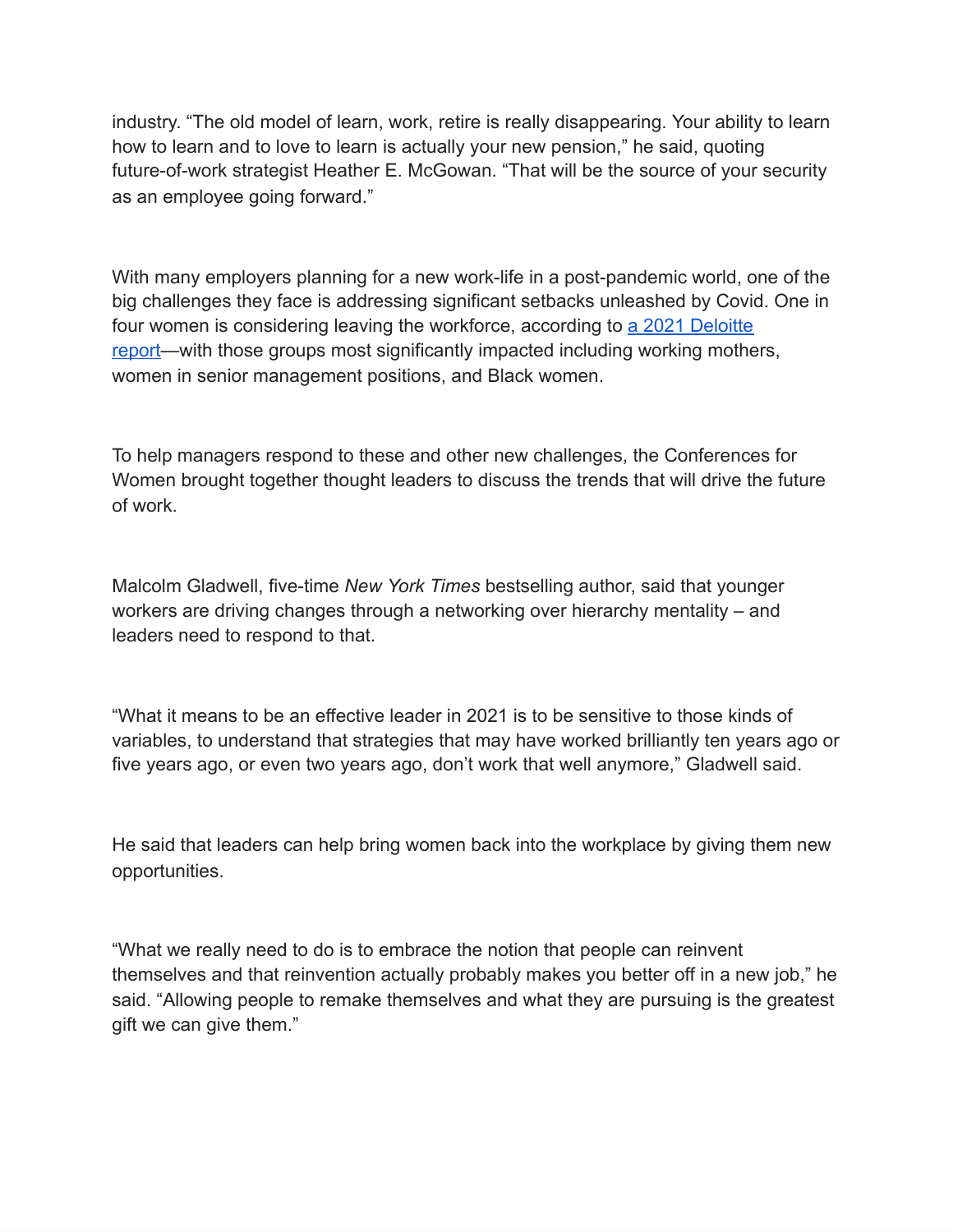industry. "The old model of learn, work, retire is really disappearing. Your ability to learn how to learn and to love to learn is actually your new pension," he said, quoting future-of-work strategist Heather E. McGowan. "That will be the source of your security as an employee going forward."

With many employers planning for a new work-life in a post-pandemic world, one of the big challenges they face is addressing significant setbacks unleashed by Covid. One in four women is considering leaving the workforce, according to [a 2021 Deloitte](https://www2.deloitte.com/content/dam/Deloitte/global/Documents/About-Deloitte/gx-about-deloitte-understanding-the-pandemic-s-impact-on-working-women.pdf)  report—with those groups most significantly impacted including working mothers, women in senior management positions, and Black women.

To help managers respond to these and other new challenges, the Conferences for Women brought together thought leaders to discuss the trends that will drive the future of work.

Malcolm Gladwell, five-time *New York Times* bestselling author, said that younger workers are driving changes through a networking over hierarchy mentality – and leaders need to respond to that.

"What it means to be an effective leader in 2021 is to be sensitive to those kinds of variables, to understand that strategies that may have worked brilliantly ten years ago or five years ago, or even two years ago, don't work that well anymore," Gladwell said.

He said that leaders can help bring women back into the workplace by giving them new opportunities.

"What we really need to do is to embrace the notion that people can reinvent themselves and that reinvention actually probably makes you better off in a new job," he said. "Allowing people to remake themselves and what they are pursuing is the greatest gift we can give them."